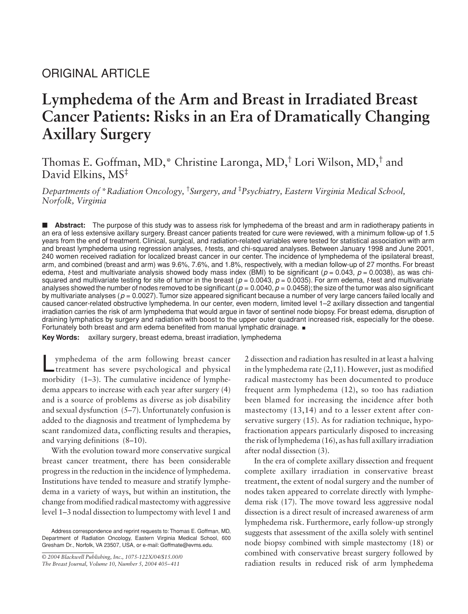# **ORIGINAL ARTICLE**

# **Lymphedema of the Arm and Breast in Irradiated Breast Cancer Patients: Risks in an Era of Dramatically Changing Axillary Surgery**

# Thomas E. Goffman, MD,\* Christine Laronga, MD,<sup>†</sup> Lori Wilson, MD,<sup>†</sup> and David Elkins, MS<sup>‡</sup>

*Departments of* \**Radiation Oncology,* † *Surgery, and* ‡ *Psychiatry, Eastern Virginia Medical School, Norfolk, Virginia* 

 **Abstract:** The purpose of this study was to assess risk for lymphedema of the breast and arm in radiotherapy patients in an era of less extensive axillary surgery. Breast cancer patients treated for cure were reviewed, with a minimum follow-up of 1.5 years from the end of treatment. Clinical, surgical, and radiation-related variables were tested for statistical association with arm and breast lymphedema using regression analyses, *t*-tests, and chi-squared analyses. Between January 1998 and June 2001, 240 women received radiation for localized breast cancer in our center. The incidence of lymphedema of the ipsilateral breast, arm, and combined (breast and arm) was 9.6%, 7.6%, and 1.8%, respectively, with a median follow-up of 27 months. For breast edema, *t*-test and multivariate analysis showed body mass index (BMI) to be significant ( $p = 0.043$ ,  $p = 0.0038$ ), as was chisquared and multivariate testing for site of tumor in the breast ( $p = 0.0043$ ,  $p = 0.0035$ ). For arm edema, *t*-test and multivariate analyses showed the number of nodes removed to be significant  $(p = 0.0040, p = 0.0458)$ ; the size of the tumor was also significant by multivariate analyses (*p* = 0.0027). Tumor size appeared significant because a number of very large cancers failed locally and caused cancer-related obstructive lymphedema. In our center, even modern, limited level 1–2 axillary dissection and tangential irradiation carries the risk of arm lymphedema that would argue in favor of sentinel node biopsy. For breast edema, disruption of draining lymphatics by surgery and radiation with boost to the upper outer quadrant increased risk, especially for the obese. Fortunately both breast and arm edema benefited from manual lymphatic drainage.  $\blacksquare$ 

**Key Words:** axillary surgery, breast edema, breast irradiation, lymphedema

Lymphedema of the arm following breast cancer treatment has severe psychological and physical morbidity (1–3). The cumulative incidence of lymphedema appears to increase with each year after surgery (4) and is a source of problems as diverse as job disability and sexual dysfunction (5–7). Unfortunately confusion is added to the diagnosis and treatment of lymphedema by scant randomized data, conflicting results and therapies, and varying definitions (8–10).

With the evolution toward more conservative surgical breast cancer treatment, there has been considerable progress in the reduction in the incidence of lymphedema. Institutions have tended to measure and stratify lymphedema in a variety of ways, but within an institution, the change from modified radical mastectomy with aggressive level 1–3 nodal dissection to lumpectomy with level 1 and

© *2004 Blackwell Publishing, Inc., 1075-122X/04/\$15.00/0 The Breast Journal, Volume 10, Number 5, 2004 405–411*

2 dissection and radiation has resulted in at least a halving in the lymphedema rate (2,11). However, just as modified radical mastectomy has been documented to produce frequent arm lymphedema (12), so too has radiation been blamed for increasing the incidence after both mastectomy (13,14) and to a lesser extent after conservative surgery (15). As for radiation technique, hypofractionation appears particularly disposed to increasing the risk of lymphedema (16), as has full axillary irradiation after nodal dissection (3).

In the era of complete axillary dissection and frequent complete axillary irradiation in conservative breast treatment, the extent of nodal surgery and the number of nodes taken appeared to correlate directly with lymphedema risk (17). The move toward less aggressive nodal dissection is a direct result of increased awareness of arm lymphedema risk. Furthermore, early follow-up strongly suggests that assessment of the axilla solely with sentinel node biopsy combined with simple mastectomy (18) or combined with conservative breast surgery followed by radiation results in reduced risk of arm lymphedema

Address correspondence and reprint requests to: Thomas E. Goffman, MD, Department of Radiation Oncology, Eastern Virginia Medical School, 600 Gresham Dr., Norfolk, VA 23507, USA, or e-mail: Goffmate@evms.edu.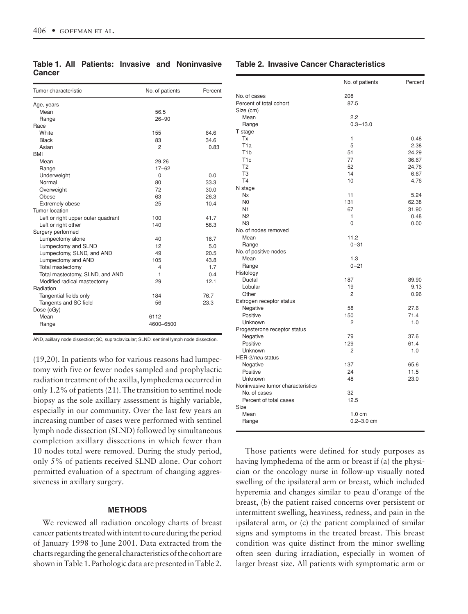## **Table 1. All Patients: Invasive and Noninvasive Cancer**

## **Table 2. Invasive Cancer Characteristics**

| Tumor characteristic               | No. of patients | Percent |
|------------------------------------|-----------------|---------|
| Age, years                         |                 |         |
| Mean                               | 56.5            |         |
| Range                              | $26 - 90$       |         |
| Race                               |                 |         |
| White                              | 155             | 64.6    |
| <b>Black</b>                       | 83              | 34.6    |
| Asian                              | $\overline{2}$  | 0.83    |
| BMI                                |                 |         |
| Mean                               | 29.26           |         |
| Range                              | $17 - 62$       |         |
| Underweight                        | $\Omega$        | 0.0     |
| Normal                             | 80              | 33.3    |
| Overweight                         | 72              | 30.0    |
| Obese                              | 63              | 26.3    |
| Extremely obese                    | 25              | 10.4    |
| Tumor location                     |                 |         |
| Left or right upper outer quadrant | 100             | 41.7    |
| Left or right other                | 140             | 58.3    |
| Surgery performed                  |                 |         |
| Lumpectomy alone                   | 40              | 16.7    |
| Lumpectomy and SLND                | 12              | 5.0     |
| Lumpectomy, SLND, and AND          | 49              | 20.5    |
| Lumpectomy and AND                 | 105             | 43.8    |
| Total mastectomy                   | 4               | 1.7     |
| Total mastectomy, SLND, and AND    | 1               | 0.4     |
| Modified radical mastectomy        | 29              | 12.1    |
| Radiation                          |                 |         |
| Tangential fields only             | 184             | 76.7    |
| Tangents and SC field              | 56              | 23.3    |
| Dose (cGy)                         |                 |         |
| Mean                               | 6112            |         |
| Range                              | 4600-6500       |         |

AND, axillary node dissection; SC, supraclavicular; SLND, sentinel lymph node dissection.

(19,20). In patients who for various reasons had lumpectomy with five or fewer nodes sampled and prophylactic radiation treatment of the axilla, lymphedema occurred in only 1.2% of patients (21). The transition to sentinel node biopsy as the sole axillary assessment is highly variable, especially in our community. Over the last few years an increasing number of cases were performed with sentinel lymph node dissection (SLND) followed by simultaneous completion axillary dissections in which fewer than 10 nodes total were removed. During the study period, only 5% of patients received SLND alone. Our cohort permitted evaluation of a spectrum of changing aggressiveness in axillary surgery.

#### **METHODS**

We reviewed all radiation oncology charts of breast cancer patients treated with intent to cure during the period of January 1998 to June 2001. Data extracted from the charts regarding the general characteristics of the cohort are shown in Table 1. Pathologic data are presented in Table 2.

|                                   | No. of patients  | Percent |  |
|-----------------------------------|------------------|---------|--|
| No. of cases                      | 208              |         |  |
| Percent of total cohort           | 87.5             |         |  |
| Size (cm)                         |                  |         |  |
| Mean                              | 2.2              |         |  |
| Range                             | $0.3 - 13.0$     |         |  |
| T stage                           |                  |         |  |
| Tx                                | 1                | 0.48    |  |
| T <sub>1a</sub>                   | 5                | 2.38    |  |
| T <sub>1</sub> b                  | 51               | 24.29   |  |
| T <sub>1c</sub>                   | 77               | 36.67   |  |
| T <sub>2</sub>                    | 52               | 24.76   |  |
| T <sub>3</sub>                    | 14               | 6.67    |  |
| T <sub>4</sub>                    | 10               | 4.76    |  |
| N stage                           |                  |         |  |
| <b>N</b> <sub>x</sub>             | 11               | 5.24    |  |
| N <sub>0</sub>                    | 131              | 62.38   |  |
| N <sub>1</sub>                    | 67               | 31.90   |  |
| N <sub>2</sub>                    | 1                | 0.48    |  |
| N3                                | $\Omega$         | 0.00    |  |
| No. of nodes removed              |                  |         |  |
| Mean                              | 11.2             |         |  |
|                                   | $0 - 31$         |         |  |
| Range                             |                  |         |  |
| No. of positive nodes             |                  |         |  |
| Mean                              | 1.3              |         |  |
| Range                             | $0 - 21$         |         |  |
| Histology                         |                  |         |  |
| Ductal                            | 187              | 89.90   |  |
| Lobular                           | 19               | 9.13    |  |
| Other                             | $\overline{2}$   | 0.96    |  |
| Estrogen receptor status          |                  |         |  |
| Negative                          | 58               | 27.6    |  |
| Positive                          | 150              | 71.4    |  |
| Unknown                           | $\overline{2}$   | 1.0     |  |
| Progesterone receptor status      |                  |         |  |
| Negative                          | 79               | 37.6    |  |
| Positive                          | 129              | 61.4    |  |
| Unknown                           | $\overline{2}$   | 1.0     |  |
| HER-2/neu status                  |                  |         |  |
| Negative                          | 137              | 65.6    |  |
| Positive                          | 24               | 11.5    |  |
| Unknown                           | 48               | 23.0    |  |
| Noninvasive tumor characteristics |                  |         |  |
| No. of cases                      | 32               |         |  |
| Percent of total cases            | 12.5             |         |  |
| <b>Size</b>                       |                  |         |  |
| Mean                              | $1.0 \text{ cm}$ |         |  |
| Range                             | $0.2 - 3.0$ cm   |         |  |
|                                   |                  |         |  |

Those patients were defined for study purposes as having lymphedema of the arm or breast if (a) the physician or the oncology nurse in follow-up visually noted swelling of the ipsilateral arm or breast, which included hyperemia and changes similar to peau d'orange of the breast, (b) the patient raised concerns over persistent or intermittent swelling, heaviness, redness, and pain in the ipsilateral arm, or (c) the patient complained of similar signs and symptoms in the treated breast. This breast condition was quite distinct from the minor swelling often seen during irradiation, especially in women of larger breast size. All patients with symptomatic arm or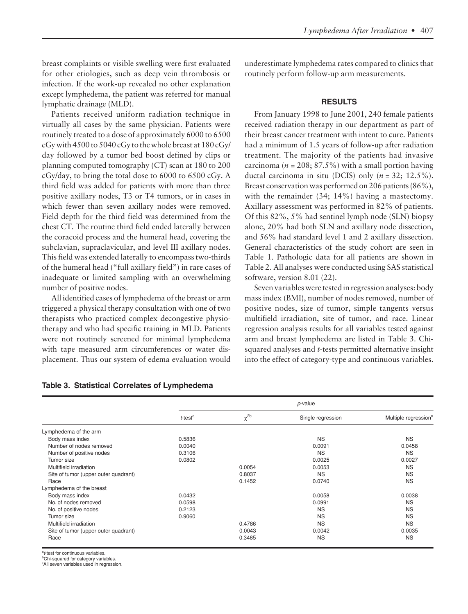breast complaints or visible swelling were first evaluated for other etiologies, such as deep vein thrombosis or infection. If the work-up revealed no other explanation except lymphedema, the patient was referred for manual lymphatic drainage (MLD).

Patients received uniform radiation technique in virtually all cases by the same physician. Patients were routinely treated to a dose of approximately 6000 to 6500 cGy with 4500 to 5040 cGy to the whole breast at 180 cGy/ day followed by a tumor bed boost defined by clips or planning computed tomography (CT) scan at 180 to 200 cGy/day, to bring the total dose to 6000 to 6500 cGy. A third field was added for patients with more than three positive axillary nodes, T3 or T4 tumors, or in cases in which fewer than seven axillary nodes were removed. Field depth for the third field was determined from the chest CT. The routine third field ended laterally between the coracoid process and the humeral head, covering the subclavian, supraclavicular, and level III axillary nodes. This field was extended laterally to encompass two-thirds of the humeral head ("full axillary field") in rare cases of inadequate or limited sampling with an overwhelming number of positive nodes.

All identified cases of lymphedema of the breast or arm triggered a physical therapy consultation with one of two therapists who practiced complex decongestive physiotherapy and who had specific training in MLD. Patients were not routinely screened for minimal lymphedema with tape measured arm circumferences or water displacement. Thus our system of edema evaluation would underestimate lymphedema rates compared to clinics that routinely perform follow-up arm measurements.

#### **RESULTS**

From January 1998 to June 2001, 240 female patients received radiation therapy in our department as part of their breast cancer treatment with intent to cure. Patients had a minimum of 1.5 years of follow-up after radiation treatment. The majority of the patients had invasive carcinoma ( $n = 208$ ;  $87.5\%$ ) with a small portion having ductal carcinoma in situ (DCIS) only  $(n = 32, 12.5\%)$ . Breast conservation was performed on 206 patients (86%), with the remainder (34; 14%) having a mastectomy. Axillary assessment was performed in 82% of patients. Of this 82%, 5% had sentinel lymph node (SLN) biopsy alone, 20% had both SLN and axillary node dissection, and 56% had standard level 1 and 2 axillary dissection. General characteristics of the study cohort are seen in Table 1. Pathologic data for all patients are shown in Table 2. All analyses were conducted using SAS statistical software, version 8.01 (22).

Seven variables were tested in regression analyses: body mass index (BMI), number of nodes removed, number of positive nodes, size of tumor, simple tangents versus multifield irradiation, site of tumor, and race. Linear regression analysis results for all variables tested against arm and breast lymphedema are listed in Table 3. Chisquared analyses and *t*-tests permitted alternative insight into the effect of category-type and continuous variables.

|                                      | $p$ -value             |                    |                   |                                  |  |
|--------------------------------------|------------------------|--------------------|-------------------|----------------------------------|--|
|                                      | $t$ -test <sup>a</sup> | $\chi^{\text{2b}}$ | Single regression | Multiple regression <sup>c</sup> |  |
| Lymphedema of the arm                |                        |                    |                   |                                  |  |
| Body mass index                      | 0.5836                 |                    | <b>NS</b>         | <b>NS</b>                        |  |
| Number of nodes removed              | 0.0040                 |                    | 0.0091            | 0.0458                           |  |
| Number of positive nodes             | 0.3106                 |                    | <b>NS</b>         | <b>NS</b>                        |  |
| Tumor size                           | 0.0802                 |                    | 0.0025            | 0.0027                           |  |
| Multifield irradiation               |                        | 0.0054             | 0.0053            | <b>NS</b>                        |  |
| Site of tumor (upper outer quadrant) |                        | 0.8037             | <b>NS</b>         | <b>NS</b>                        |  |
| Race                                 |                        | 0.1452             | 0.0740            | <b>NS</b>                        |  |
| Lymphedema of the breast             |                        |                    |                   |                                  |  |
| Body mass index                      | 0.0432                 |                    | 0.0058            | 0.0038                           |  |
| No. of nodes removed                 | 0.0598                 |                    | 0.0991            | <b>NS</b>                        |  |
| No. of positive nodes                | 0.2123                 |                    | <b>NS</b>         | <b>NS</b>                        |  |
| Tumor size                           | 0.9060                 |                    | <b>NS</b>         | <b>NS</b>                        |  |
| Multifield irradiation               |                        | 0.4786             | <b>NS</b>         | <b>NS</b>                        |  |
| Site of tumor (upper outer quadrant) |                        | 0.0043             | 0.0042            | 0.0035                           |  |
| Race                                 |                        | 0.3485             | <b>NS</b>         | <b>NS</b>                        |  |

#### **Table 3. Statistical Correlates of Lymphedema**

a *t*-test for continuous variables.

<sup>b</sup>Chi-squared for category variables.

c All seven variables used in regression.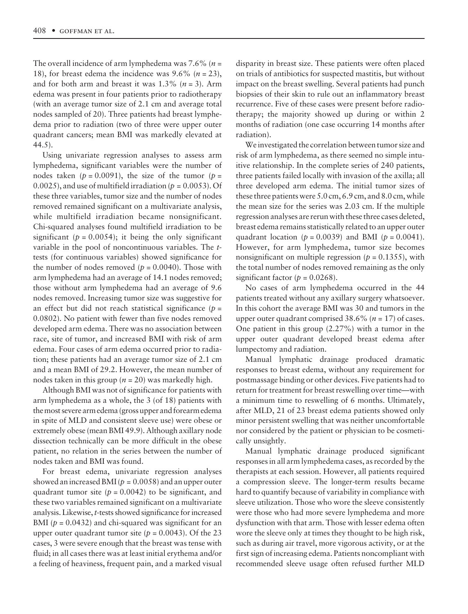The overall incidence of arm lymphedema was 7.6% (*n* = 18), for breast edema the incidence was  $9.6\%$  ( $n = 23$ ), and for both arm and breast it was  $1.3\%$  ( $n = 3$ ). Arm edema was present in four patients prior to radiotherapy (with an average tumor size of 2.1 cm and average total nodes sampled of 20). Three patients had breast lymphedema prior to radiation (two of three were upper outer quadrant cancers; mean BMI was markedly elevated at 44.5).

Using univariate regression analyses to assess arm lymphedema, significant variables were the number of nodes taken ( $p = 0.0091$ ), the size of the tumor ( $p =$ 0.0025), and use of multifield irradiation (*p* = 0.0053). Of these three variables, tumor size and the number of nodes removed remained significant on a multivariate analysis, while multifield irradiation became nonsignificant. Chi-squared analyses found multifield irradiation to be significant ( $p = 0.0054$ ); it being the only significant variable in the pool of noncontinuous variables. The *t*tests (for continuous variables) showed significance for the number of nodes removed  $(p = 0.0040)$ . Those with arm lymphedema had an average of 14.1 nodes removed; those without arm lymphedema had an average of 9.6 nodes removed. Increasing tumor size was suggestive for an effect but did not reach statistical significance  $(p =$ 0.0802). No patient with fewer than five nodes removed developed arm edema. There was no association between race, site of tumor, and increased BMI with risk of arm edema. Four cases of arm edema occurred prior to radiation; these patients had an average tumor size of 2.1 cm and a mean BMI of 29.2. However, the mean number of nodes taken in this group ( $n = 20$ ) was markedly high.

Although BMI was not of significance for patients with arm lymphedema as a whole, the 3 (of 18) patients with the most severe arm edema (gross upper and forearm edema in spite of MLD and consistent sleeve use) were obese or extremely obese (mean BMI 49.9). Although axillary node dissection technically can be more difficult in the obese patient, no relation in the series between the number of nodes taken and BMI was found.

For breast edema, univariate regression analyses showed an increased BMI ( $p = 0.0058$ ) and an upper outer quadrant tumor site  $(p = 0.0042)$  to be significant, and these two variables remained significant on a multivariate analysis. Likewise, *t*-tests showed significance for increased BMI ( $p = 0.0432$ ) and chi-squared was significant for an upper outer quadrant tumor site  $(p = 0.0043)$ . Of the 23 cases, 3 were severe enough that the breast was tense with fluid; in all cases there was at least initial erythema and/or a feeling of heaviness, frequent pain, and a marked visual

disparity in breast size. These patients were often placed on trials of antibiotics for suspected mastitis, but without impact on the breast swelling. Several patients had punch biopsies of their skin to rule out an inflammatory breast recurrence. Five of these cases were present before radiotherapy; the majority showed up during or within 2 months of radiation (one case occurring 14 months after radiation).

We investigated the correlation between tumor size and risk of arm lymphedema, as there seemed no simple intuitive relationship. In the complete series of 240 patients, three patients failed locally with invasion of the axilla; all three developed arm edema. The initial tumor sizes of these three patients were 5.0 cm, 6.9 cm, and 8.0 cm, while the mean size for the series was 2.03 cm. If the multiple regression analyses are rerun with these three cases deleted, breast edema remains statistically related to an upper outer quadrant location ( $p = 0.0039$ ) and BMI ( $p = 0.0041$ ). However, for arm lymphedema, tumor size becomes nonsignificant on multiple regression  $(p = 0.1355)$ , with the total number of nodes removed remaining as the only significant factor  $(p = 0.0268)$ .

No cases of arm lymphedema occurred in the 44 patients treated without any axillary surgery whatsoever. In this cohort the average BMI was 30 and tumors in the upper outer quadrant comprised 38.6% (*n* = 17) of cases. One patient in this group (2.27%) with a tumor in the upper outer quadrant developed breast edema after lumpectomy and radiation.

Manual lymphatic drainage produced dramatic responses to breast edema, without any requirement for postmassage binding or other devices. Five patients had to return for treatment for breast reswelling over time—with a minimum time to reswelling of 6 months. Ultimately, after MLD, 21 of 23 breast edema patients showed only minor persistent swelling that was neither uncomfortable nor considered by the patient or physician to be cosmetically unsightly.

Manual lymphatic drainage produced significant responses in all arm lymphedema cases, as recorded by the therapists at each session. However, all patients required a compression sleeve. The longer-term results became hard to quantify because of variability in compliance with sleeve utilization. Those who wore the sleeve consistently were those who had more severe lymphedema and more dysfunction with that arm. Those with lesser edema often wore the sleeve only at times they thought to be high risk, such as during air travel, more vigorous activity, or at the first sign of increasing edema. Patients noncompliant with recommended sleeve usage often refused further MLD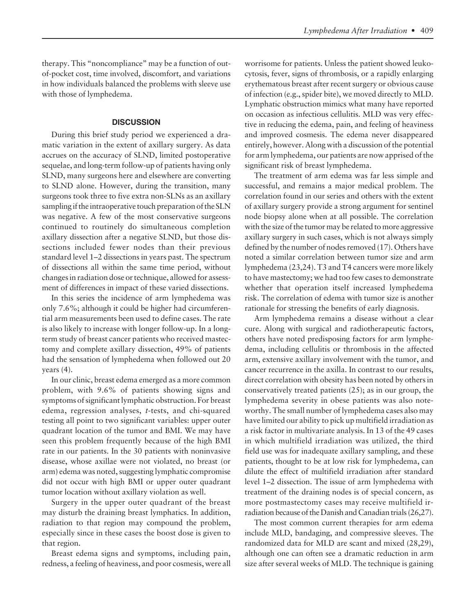therapy. This "noncompliance" may be a function of outof-pocket cost, time involved, discomfort, and variations in how individuals balanced the problems with sleeve use with those of lymphedema.

## **DISCUSSION**

During this brief study period we experienced a dramatic variation in the extent of axillary surgery. As data accrues on the accuracy of SLND, limited postoperative sequelae, and long-term follow-up of patients having only SLND, many surgeons here and elsewhere are converting to SLND alone. However, during the transition, many surgeons took three to five extra non-SLNs as an axillary sampling if the intraoperative touch preparation of the SLN was negative. A few of the most conservative surgeons continued to routinely do simultaneous completion axillary dissection after a negative SLND, but those dissections included fewer nodes than their previous standard level 1–2 dissections in years past. The spectrum of dissections all within the same time period, without changes in radiation dose or technique, allowed for assessment of differences in impact of these varied dissections.

In this series the incidence of arm lymphedema was only 7.6%; although it could be higher had circumferential arm measurements been used to define cases. The rate is also likely to increase with longer follow-up. In a longterm study of breast cancer patients who received mastectomy and complete axillary dissection, 49% of patients had the sensation of lymphedema when followed out 20 years (4).

In our clinic, breast edema emerged as a more common problem, with 9.6% of patients showing signs and symptoms of significant lymphatic obstruction. For breast edema, regression analyses, *t*-tests, and chi-squared testing all point to two significant variables: upper outer quadrant location of the tumor and BMI. We may have seen this problem frequently because of the high BMI rate in our patients. In the 30 patients with noninvasive disease, whose axillae were not violated, no breast (or arm) edema was noted, suggesting lymphatic compromise did not occur with high BMI or upper outer quadrant tumor location without axillary violation as well.

Surgery in the upper outer quadrant of the breast may disturb the draining breast lymphatics. In addition, radiation to that region may compound the problem, especially since in these cases the boost dose is given to that region.

Breast edema signs and symptoms, including pain, redness, a feeling of heaviness, and poor cosmesis, were all worrisome for patients. Unless the patient showed leukocytosis, fever, signs of thrombosis, or a rapidly enlarging erythematous breast after recent surgery or obvious cause of infection (e.g., spider bite), we moved directly to MLD. Lymphatic obstruction mimics what many have reported on occasion as infectious cellulitis. MLD was very effective in reducing the edema, pain, and feeling of heaviness and improved cosmesis. The edema never disappeared entirely, however. Along with a discussion of the potential for arm lymphedema, our patients are now apprised of the significant risk of breast lymphedema.

The treatment of arm edema was far less simple and successful, and remains a major medical problem. The correlation found in our series and others with the extent of axillary surgery provide a strong argument for sentinel node biopsy alone when at all possible. The correlation with the size of the tumor may be related to more aggressive axillary surgery in such cases, which is not always simply defined by the number of nodes removed (17). Others have noted a similar correlation between tumor size and arm lymphedema (23,24). T3 and T4 cancers were more likely to have mastectomy; we had too few cases to demonstrate whether that operation itself increased lymphedema risk. The correlation of edema with tumor size is another rationale for stressing the benefits of early diagnosis.

Arm lymphedema remains a disease without a clear cure. Along with surgical and radiotherapeutic factors, others have noted predisposing factors for arm lymphedema, including cellulitis or thrombosis in the affected arm, extensive axillary involvement with the tumor, and cancer recurrence in the axilla. In contrast to our results, direct correlation with obesity has been noted by others in conservatively treated patients (25); as in our group, the lymphedema severity in obese patients was also noteworthy. The small number of lymphedema cases also may have limited our ability to pick up multifield irradiation as a risk factor in multivariate analysis. In 13 of the 49 cases in which multifield irradiation was utilized, the third field use was for inadequate axillary sampling, and these patients, thought to be at low risk for lymphedema, can dilute the effect of multifield irradiation after standard level 1–2 dissection. The issue of arm lymphedema with treatment of the draining nodes is of special concern, as more postmastectomy cases may receive multifield irradiation because of the Danish and Canadian trials (26,27).

The most common current therapies for arm edema include MLD, bandaging, and compressive sleeves. The randomized data for MLD are scant and mixed (28,29), although one can often see a dramatic reduction in arm size after several weeks of MLD. The technique is gaining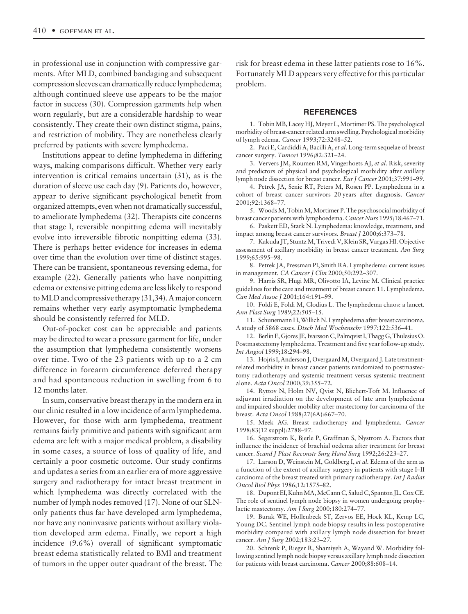in professional use in conjunction with compressive garments. After MLD, combined bandaging and subsequent compression sleeves can dramatically reduce lymphedema; although continued sleeve use appears to be the major factor in success (30). Compression garments help when worn regularly, but are a considerable hardship to wear consistently. They create their own distinct stigma, pains, and restriction of mobility. They are nonetheless clearly preferred by patients with severe lymphedema.

Institutions appear to define lymphedema in differing ways, making comparisons difficult. Whether very early intervention is critical remains uncertain (31), as is the duration of sleeve use each day (9). Patients do, however, appear to derive significant psychological benefit from organized attempts, even when not dramatically successful, to ameliorate lymphedema (32). Therapists cite concerns that stage I, reversible nonpitting edema will inevitably evolve into irreversible fibrotic nonpitting edema (33). There is perhaps better evidence for increases in edema over time than the evolution over time of distinct stages. There can be transient, spontaneous reversing edema, for example (22). Generally patients who have nonpitting edema or extensive pitting edema are less likely to respond to MLD and compressive therapy (31,34). A major concern remains whether very early asymptomatic lymphedema should be consistently referred for MLD.

Out-of-pocket cost can be appreciable and patients may be directed to wear a pressure garment for life, under the assumption that lymphedema consistently worsens over time. Two of the 23 patients with up to a 2 cm difference in forearm circumference deferred therapy and had spontaneous reduction in swelling from 6 to 12 months later.

In sum, conservative breast therapy in the modern era in our clinic resulted in a low incidence of arm lymphedema. However, for those with arm lymphedema, treatment remains fairly primitive and patients with significant arm edema are left with a major medical problem, a disability in some cases, a source of loss of quality of life, and certainly a poor cosmetic outcome. Our study confirms and updates a series from an earlier era of more aggressive surgery and radiotherapy for intact breast treatment in which lymphedema was directly correlated with the number of lymph nodes removed (17). None of our SLNonly patients thus far have developed arm lymphedema, nor have any noninvasive patients without axillary violation developed arm edema. Finally, we report a high incidence (9.6%) overall of significant symptomatic breast edema statistically related to BMI and treatment of tumors in the upper outer quadrant of the breast. The

risk for breast edema in these latter patients rose to 16%. Fortunately MLD appears very effective for this particular problem.

#### **REFERENCES**

1. Tobin MB, Lacey HJ, Meyer L, Mortimer PS. The psychological morbidity of breast-cancer related arm swelling. Psychological morbidity of lymph edema. *Cancer* 1993;72:3248–52.

2. Paci E, Cardiddi A, Bacilli A, *et al.* Long-term sequelae of breast cancer surgery. *Tumori* 1996;82:321–24.

3. Ververs JM, Roumen RM, Vingerhoets AJ, *et al.* Risk, severity and predictors of physical and psychological morbidity after axillary lymph node dissection for breast cancer. *Eur J Cancer* 2001;37:991–99.

4. Petrek JA, Senie RT, Peters M, Rosen PP. Lymphedema in a cohort of breast cancer survivors 20 years after diagnosis. *Cancer* 2001;92:1368–77.

5. Woods M, Tobin M, Mortimer P. The psychosocial morbidity of breast cancer patients with lymphoedema. *Cancer Nurs* 1995;18:467–71.

6. Paskett ED, Stark N. Lymphedema: knowledge, treatment, and impact among breast cancer survivors. *Breast J* 2000;6:373–78.

7. Kakuda JT, Stuntz M, Trivedi V, Klein SR, Vargas HI. Objective assessment of axillary morbidity in breast cancer treatment. *Am Surg* 1999;65:995–98.

8. Petrek JA, Pressman PI, Smith RA. Lymphedema: current issues in management. *CA Cancer J Clin* 2000;50:292–307.

9. Harris SR, Hugi MR, Olivotto IA, Levine M. Clinical practice guidelines for the care and treatment of breast cancer: 11. Lymphedema. *Can Med Assoc J* 2001;164:191–99.

10. Foldi E, Foldi M, Clodius L. The lymphedema chaos: a lancet. *Ann Plast Surg* 1989;22:505–15.

11. Schunemann H, Willich N. Lymphedema after breast carcinoma. A study of 5868 cases. *Dtsch Med Wochenschr* 1997;122:536–41.

12. Berlin E, Gjores JE, Ivarsson C, Palmqvist I, Thagg G, Thulesius O. Postmastectomy lymphedema. Treatment and five year follow-up study. *Int Angiol* 1999;18:294–98.

13. Hojris I, Anderson J, Overgaard M, Overgaard J. Late treatmentrelated morbidity in breast cancer patients randomized to postmastectomy radiotherapy and systemic treatment versus systemic treatment alone. *Acta Oncol* 2000;39:355–72.

14. Ryttov N, Holm NV, Qvist N, Blichert-Toft M. Influence of adjuvant irradiation on the development of late arm lymphedema and impaired shoulder mobility after mastectomy for carcinoma of the breast. *Acta Oncol* 1988;27(6A):667–70.

15. Meek AG. Breast radiotherapy and lymphedema. *Cancer* 1998;83(12 suppl):2788–97.

16. Segerstrom K, Bjerle P, Graffman S, Nystrom A. Factors that influence the incidence of brachial oedema after treatment for breast cancer. *Scand J Plast Reconstr Surg Hand Surg* 1992;26:223–27.

17. Larson D, Weinstein M, Goldberg I, *et al.* Edema of the arm as a function of the extent of axillary surgery in patients with stage I–II carcinoma of the breast treated with primary radiotherapy. *Int J Radiat Oncol Biol Phys* 1986;12:1575–82.

18. Dupont EI, Kuhn MA, McCann C, Salud C, Spanton JL, Cox CE. The role of sentinel lymph node biopsy in women undergoing prophylactic mastectomy. *Am J Surg* 2000;180:274–77.

19. Burak WE, Hollenbeck ST, Zervos EE, Hock KL, Kemp LC, Young DC. Sentinel lymph node biopsy results in less postoperative morbidity compared with axillary lymph node dissection for breast cancer. *Am J Surg* 2002;183:23–27.

20. Schrenk P, Rieger R, Shamiyeh A, Wayand W. Morbidity following sentinel lymph node biopsy versus axillary lymph node dissection for patients with breast carcinoma. *Cancer* 2000;88:608–14.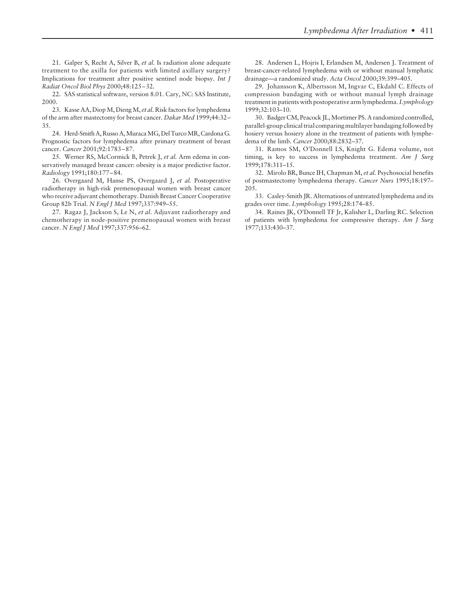21. Galper S, Recht A, Silver B, *et al.* Is radiation alone adequate treatment to the axilla for patients with limited axillary surgery? Implications for treatment after positive sentinel node biopsy. *Int J Radiat Oncol Biol Phys* 2000;48:125–32.

22. SAS statistical software, version 8.01. Cary, NC: SAS Institute, 2000.

23. Kasse AA, Diop M, Dieng M, *et al.* Risk factors for lymphedema of the arm after mastectomy for breast cancer. *Dakar Med* 1999;44:32– 35.

24. Herd-Smith A, Russo A, Muraca MG, Del Turco MR, Cardona G. Prognostic factors for lymphedema after primary treatment of breast cancer. *Cancer* 2001;92:1783–87.

25. Werner RS, McCormick B, Petrek J, *et al.* Arm edema in conservatively managed breast cancer: obesity is a major predictive factor. *Radiology* 1991;180:177–84.

26. Overgaard M, Hanse PS, Overgaard J, *et al.* Postoperative radiotherapy in high-risk premenopausal women with breast cancer who receive adjuvant chemotherapy. Danish Breast Cancer Cooperative Group 82b Trial. *N Engl J Med* 1997;337:949–55.

27. Ragaz J, Jackson S, Le N, *et al.* Adjuvant radiotherapy and chemotherapy in node-positive premenopausal women with breast cancer. *N Engl J Med* 1997;337:956–62.

28. Andersen L, Hojris I, Erlandsen M, Andersen J. Treatment of breast-cancer-related lymphedema with or without manual lymphatic drainage—a randomized study. *Acta Oncol* 2000;39:399–405.

29. Johansson K, Albertsson M, Ingvar C, Ekdahl C. Effects of compression bandaging with or without manual lymph drainage treatment in patients with postoperative arm lymphedema. *Lymphology* 1999;32:103–10.

30. Badger CM, Peacock JL, Mortimer PS. A randomized controlled, parallel-group clinical trial comparing multilayer bandaging followed by hosiery versus hosiery alone in the treatment of patients with lymphedema of the limb. *Cancer* 2000;88:2832–37.

31. Ramos SM, O'Donnell LS, Knight G. Edema volume, not timing, is key to success in lymphedema treatment. *Am J Surg* 1999;178:311–15.

32. Mirolo BR, Bunce IH, Chapman M, *et al.* Psychosocial benefits of postmastectomy lymphedema therapy. *Cancer Nurs* 1995;18:197– 205.

33. Casley-Smith JR. Alternations of untreated lymphedema and its grades over time. *Lymphology* 1995;28:174–85.

34. Raines JK, O'Donnell TF Jr, Kalisher L, Darling RC. Selection of patients with lymphedema for compressive therapy. *Am J Surg* 1977;133:430–37.